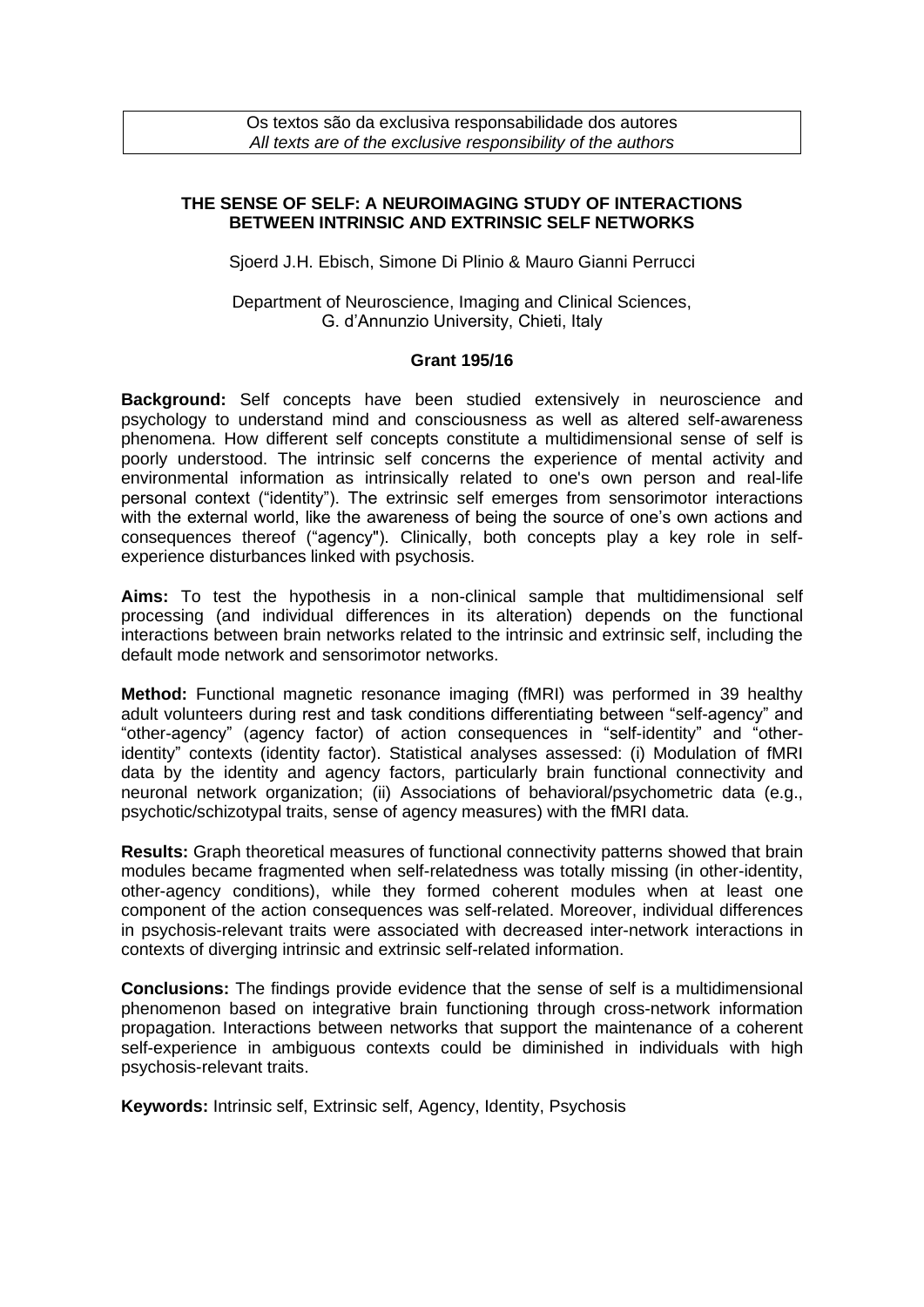Os textos são da exclusiva responsabilidade dos autores *All texts are of the exclusive responsibility of the authors*

## **THE SENSE OF SELF: A NEUROIMAGING STUDY OF INTERACTIONS BETWEEN INTRINSIC AND EXTRINSIC SELF NETWORKS**

Sjoerd J.H. Ebisch, Simone Di Plinio & Mauro Gianni Perrucci

Department of Neuroscience, Imaging and Clinical Sciences, G. d'Annunzio University, Chieti, Italy

## **Grant 195/16**

**Background:** Self concepts have been studied extensively in neuroscience and psychology to understand mind and consciousness as well as altered self-awareness phenomena. How different self concepts constitute a multidimensional sense of self is poorly understood. The intrinsic self concerns the experience of mental activity and environmental information as intrinsically related to one's own person and real-life personal context ("identity"). The extrinsic self emerges from sensorimotor interactions with the external world, like the awareness of being the source of one's own actions and consequences thereof ("agency"). Clinically, both concepts play a key role in selfexperience disturbances linked with psychosis.

**Aims:** To test the hypothesis in a non-clinical sample that multidimensional self processing (and individual differences in its alteration) depends on the functional interactions between brain networks related to the intrinsic and extrinsic self, including the default mode network and sensorimotor networks.

**Method:** Functional magnetic resonance imaging (fMRI) was performed in 39 healthy adult volunteers during rest and task conditions differentiating between "self-agency" and "other-agency" (agency factor) of action consequences in "self-identity" and "otheridentity" contexts (identity factor). Statistical analyses assessed: (i) Modulation of fMRI data by the identity and agency factors, particularly brain functional connectivity and neuronal network organization; (ii) Associations of behavioral/psychometric data (e.g., psychotic/schizotypal traits, sense of agency measures) with the fMRI data.

**Results:** Graph theoretical measures of functional connectivity patterns showed that brain modules became fragmented when self-relatedness was totally missing (in other-identity, other-agency conditions), while they formed coherent modules when at least one component of the action consequences was self-related. Moreover, individual differences in psychosis-relevant traits were associated with decreased inter-network interactions in contexts of diverging intrinsic and extrinsic self-related information.

**Conclusions:** The findings provide evidence that the sense of self is a multidimensional phenomenon based on integrative brain functioning through cross-network information propagation. Interactions between networks that support the maintenance of a coherent self-experience in ambiguous contexts could be diminished in individuals with high psychosis-relevant traits.

**Keywords:** Intrinsic self, Extrinsic self, Agency, Identity, Psychosis